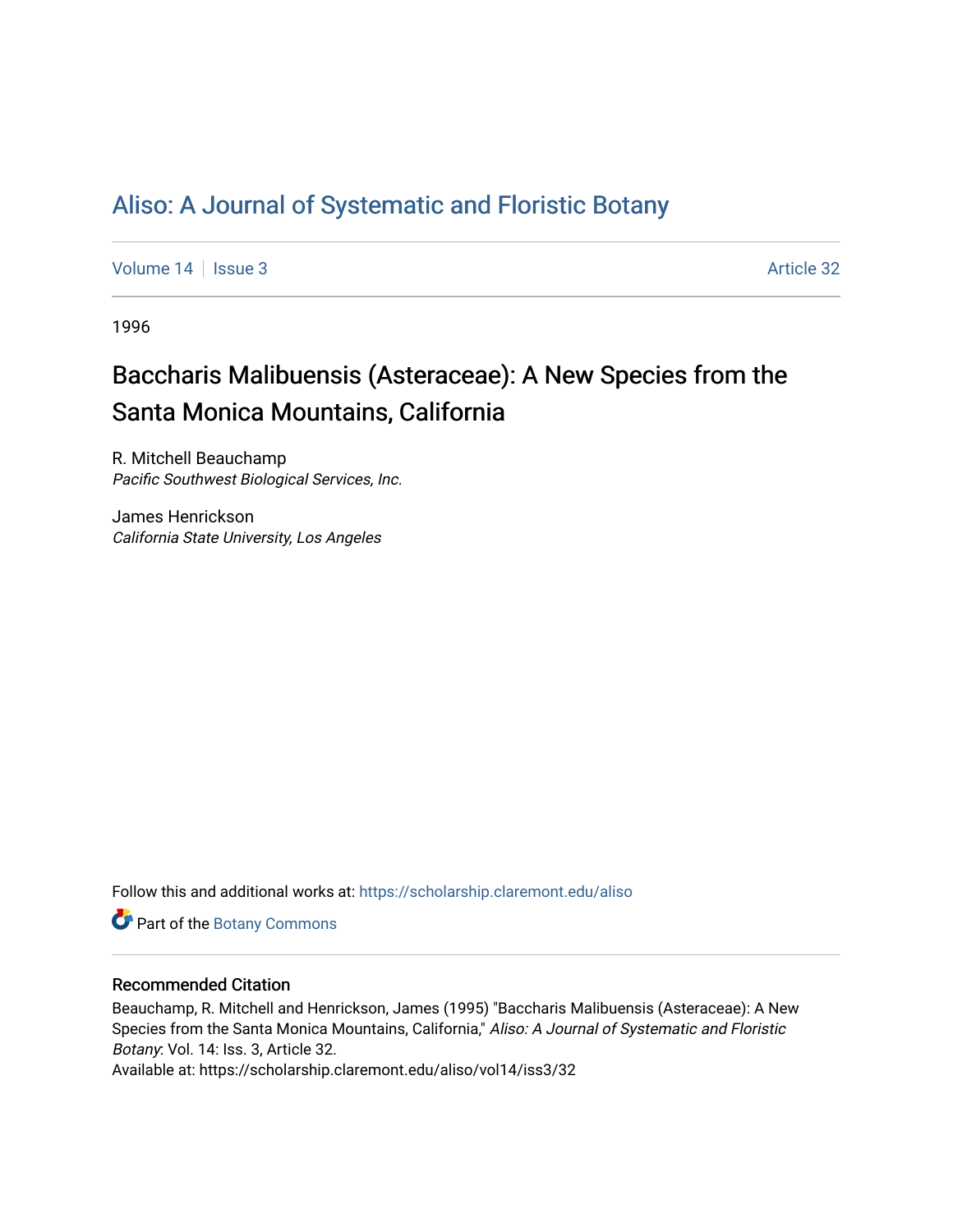## [Aliso: A Journal of Systematic and Floristic Botany](https://scholarship.claremont.edu/aliso)

[Volume 14](https://scholarship.claremont.edu/aliso/vol14) | [Issue 3](https://scholarship.claremont.edu/aliso/vol14/iss3) Article 32

1996

# Baccharis Malibuensis (Asteraceae): A New Species from the Santa Monica Mountains, California

R. Mitchell Beauchamp Pacific Southwest Biological Services, Inc.

James Henrickson California State University, Los Angeles

Follow this and additional works at: [https://scholarship.claremont.edu/aliso](https://scholarship.claremont.edu/aliso?utm_source=scholarship.claremont.edu%2Faliso%2Fvol14%2Fiss3%2F32&utm_medium=PDF&utm_campaign=PDFCoverPages) 

Part of the [Botany Commons](https://network.bepress.com/hgg/discipline/104?utm_source=scholarship.claremont.edu%2Faliso%2Fvol14%2Fiss3%2F32&utm_medium=PDF&utm_campaign=PDFCoverPages) 

## Recommended Citation

Beauchamp, R. Mitchell and Henrickson, James (1995) "Baccharis Malibuensis (Asteraceae): A New Species from the Santa Monica Mountains, California," Aliso: A Journal of Systematic and Floristic Botany: Vol. 14: Iss. 3, Article 32.

Available at: https://scholarship.claremont.edu/aliso/vol14/iss3/32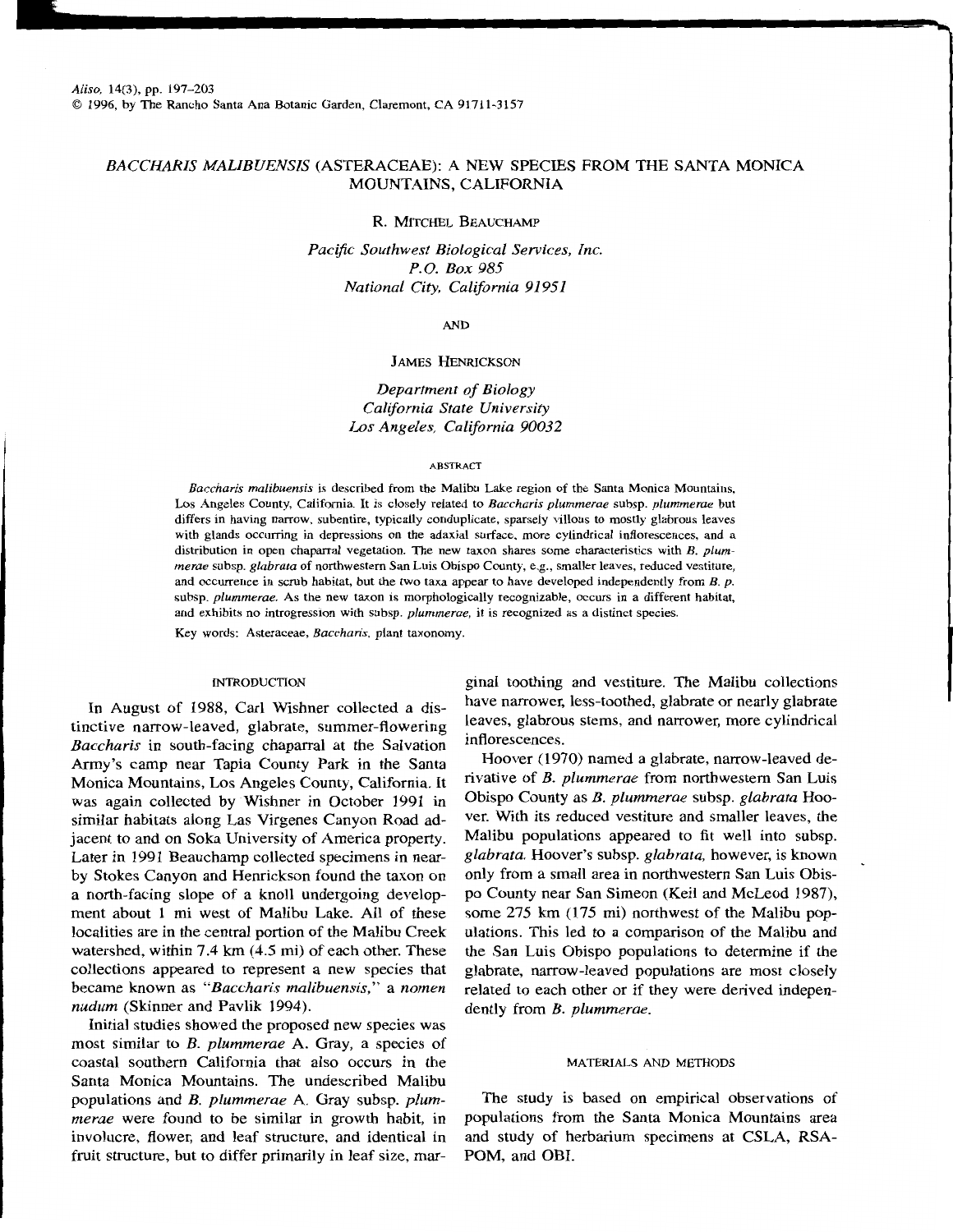## *BACCHARIS MALIBUENSIS* (ASTERACEAE): A NEW SPECIES FROM THE SANTA MONICA MOUNTAINS, CALIFORNIA

## R. MITCHEL BEAUCHAMP

*Pacific Southwest Biological Services, Inc. P.O. Box 985 National City, California 91951* 

## AND

## JAMES HENRICKSON

## *Department of Biology California State University Los Angeles, California 90032*

#### ABSTRACT

*Baccharis malibuensis* is described from the Malibu Lake region of the Santa Monica Mountains, Los Angeles County, California. It is closely related to *Baccharis plummerae* subsp. *plummerae* but differs in having narrow, subentire, typically conduplicate, sparsely villous to mostly glabrous leaves with glands occurring in depressions on the adaxial surface, more cylindrical inflorescences, and a distribution in open chaparral vegetation. The new taxon shares some characteristics with *B. plummerae* subsp. *glabrata* of northwestern San Luis Obispo County, e.g., smaller leaves, reduced vestiture, and occurrence in scrub habitat, but the two taxa appear to have developed independently from *B.* p. subsp. *plummerae.* As the new taxon is morphologically recognizable, occurs in a different habitat, and exhibits no introgression with subsp. *plummerae,* it is recognized as a distinct species.

Key words: Asteraceae, *Baccharis,* plant taxonomy.

## INTRODUCTION

In August of 1988, Carl Wishner collected a distinctive narrow-leaved, glabrate, summer-flowering *Baccharis* in south-facing chaparral at the Salvation Army's camp near Tapia County Park in the Santa Monica Mountains, Los Angeles County, California. It was again collected by Wishner in October 1991 in similar habitats along Las Virgenes Canyon Road adjacent to and on Soka University of America property. Later in 1991 Beauchamp collected specimens in nearby Stokes Canyon and Henrickson found the taxon on a north-facing slope of a knoll undergoing development about 1 mi west of Malibu Lake. All of these localities are in the central portion of the Malibu Creek watershed, within 7.4 km (4.5 mi) of each other. These collections appeared to represent a new species that became known as *"Baccharis malibuensis,"* a *nomen nudum* (Skinner and Pavlik 1994).

Initial studies showed the proposed new species was most similar to B. *plummerae* A. Gray, a species of coastal southern California that also occurs in the Santa Monica Mountains. The undescribed Malibu populations and B. *plummerae* A. Gray subsp. *plummerae* were found to be similar in growth habit, in involucre, flower, and leaf structure, and identical in fruit structure, but to differ primarily in leaf size, marginal toothing and vestiture. The Malibu collections have narrower, less-toothed, glabrate or nearly glabrate leaves, glabrous stems, and narrower, more cylindrical inflorescences.

Hoover (1970) named a glabrate, narrow-leaved derivative of B. *plummerae* from northwestern San Luis Obispo County as B. *plummerae* subsp. *glabrata* Hoover. With its reduced vestiture and smaller leaves, the Malibu populations appeared to fit well into subsp. *glabrata.* Hoover's subsp. *glabrata,* however, is known only from a small area in northwestern San Luis Obispo County near San Simeon (Keil and McLeod 1987), some 275 km (175 mi) northwest of the Malibu populations. This led to a comparison of the Malibu and the San Luis Obispo populations to determine if the glabrate, narrow-leaved populations are most closely related to each other or if they were derived independently from B. *plummerae.* 

#### MATERIALS AND METHODS

The study is based on empirical observations of populations from the Santa Monica Mountains area and study of herbarium specimens at CSLA, RSA-POM, and OBI.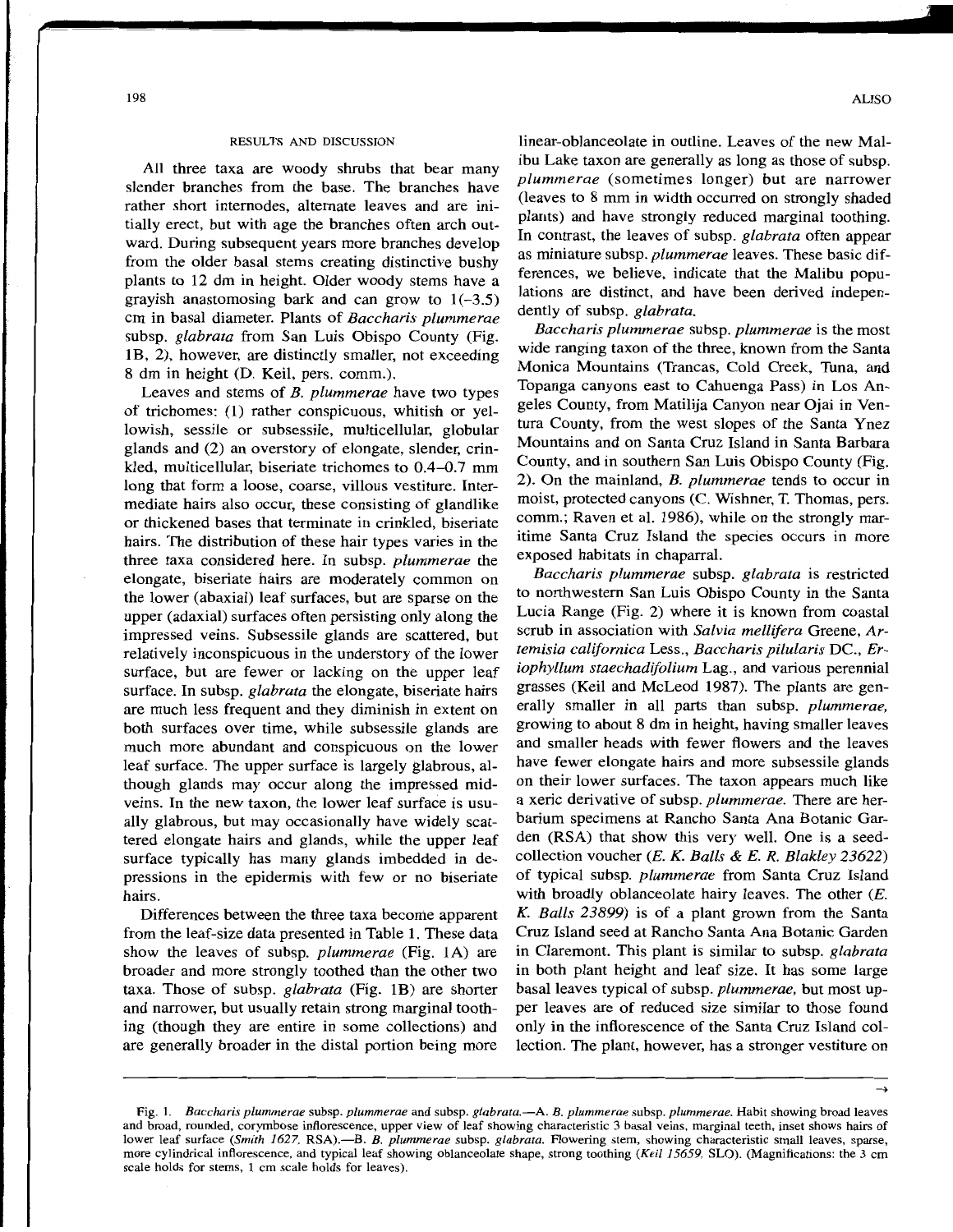## RESULTS AND DISCUSSION

All three taxa are woody shrubs that bear many slender branches from the base. The branches have rather short internodes, alternate leaves and are initially erect, but with age the branches often arch outward. During subsequent years more branches develop from the older basal stems creating distinctive bushy plants to 12 dm in height. Older woody stems have a grayish anastomosing bark and can grow to  $1(-3.5)$ em in basal diameter. Plants of *Baccharis plummerae*  subsp. *glabrata* from San Luis Obispo County (Fig. 1B, 2), however, are distinctly smaller, not exceeding 8 dm in height (D. Keil, pers. comm.).

Leaves and stems of B. *plummerae* have two types of trichomes: (1) rather conspicuous, whitish or yellowish, sessile or subsessile, multicellular, globular glands and (2) an overstory of elongate, slender, crinkled, multicellular, biseriate trichomes to 0.4-0.7 mm long that form a loose, coarse, villous vestiture. Intermediate hairs also occur, these consisting of glandlike or thickened bases that terminate in crinkled, biseriate hairs. The distribution of these hair types varies in the three taxa considered here. In subsp. *plummerae* the elongate, biseriate hairs are moderately common on the lower (abaxial) leaf surfaces, but are sparse on the upper (adaxial) surfaces often persisting only along the impressed veins. Subsessile glands are scattered, but relatively inconspicuous in the understory of the lower surface, but are fewer or lacking on the upper leaf surface. In subsp. *glabrata* the elongate, biseriate hairs are much less frequent and they diminish in extent on both surfaces over time, while subsessile glands are much more abundant and conspicuous on the lower leaf surface. The upper surface is largely glabrous, although glands may occur along the impressed midveins. In the new taxon, the lower leaf surface is usually glabrous, but may occasionally have widely scattered elongate hairs and glands, while the upper leaf surface typically has many glands imbedded in depressions in the epidermis with few or no biseriate hairs.

Differences between the three taxa become apparent from the leaf-size data presented in Table 1. These data show the leaves of subsp. *plummerae* (Fig. 1A) are broader and more strongly toothed than the other two taxa. Those of subsp. *glabrata* (Fig. 1B) are shorter and narrower, but usually retain strong marginal toothing (though they are entire in some collections) and are generally broader in the distal portion being more

 $\rightarrow$ 

linear-oblanceolate in outline. Leaves of the new Malibu Lake taxon are generally as long as those of subsp. *plummerae* (sometimes longer) but are narrower (leaves to 8 mm in width occurred on strongly shaded plants) and have strongly reduced marginal toothing. In contrast, the leaves of subsp. *glabrata* often appear as miniature subsp. *plummerae* leaves. These basic differences, we believe, indicate that the Malibu populations are distinct, and have been derived independently of subsp. *glabrata.* 

*Baccharis plummerae* subsp. *plummerae* is the most wide ranging taxon of the three, known from the Santa Monica Mountains (Trancas, Cold Creek, Tuna, and Topanga canyons east to Cahuenga Pass) in Los Angeles County, from Matilija Canyon near Ojai in Ventura County, from the west slopes of the Santa Ynez Mountains and on Santa Cruz Island in Santa Barbara County, and in southern San Luis Obispo County (Fig. 2). On the mainland, *B. plummerae* tends to occur in moist, protected canyons (C. Wishner, T. Thomas, pers. comm.; Raven et al. 1986), while on the strongly maritime Santa Cruz Island the species occurs in more exposed habitats in chaparral.

*Baccharis plummerae* subsp. *glabrata* is restricted to northwestern San Luis Obispo County in the Santa Lucia Range (Fig. 2) where it is known from coastal scrub in association with *Salvia mellifera* Greene, *Artemisia californica* Less., *Baccharis pilularis* DC., *Eriophyllum staechadifolium* Lag., and various perennial grasses (Keil and McLeod 1987). The plants are generally smaller in all parts than subsp. *plummerae,*  growing to about 8 dm in height, having smaller leaves and smaller heads with fewer flowers and the leaves have fewer elongate hairs and more subsessile glands on their lower surfaces. The taxon appears much like a xeric derivative of subsp. *plummerae.* There are herbarium specimens at Rancho Santa Ana Botanic Garden (RSA) that show this very well. One is a seedcollection voucher (E. K. *Balls* & *E. R. Blakley 23622)*  of typical subsp. *plummerae* from Santa Cruz Island with broadly oblanceolate hairy leaves. The other (E. K. *Balls 23899)* is of a plant grown from the Santa Cruz Island seed at Rancho Santa Ana Botanic Garden in Claremont. This plant is similar to subsp. *glabrata*  in both plant height and leaf size. It has some large basal leaves typical of subsp. *plummerae,* but most upper leaves are of reduced size similar to those found only in the inflorescence of the Santa Cruz Island collection. The plant, however, has a stronger vestiture on

Fig. 1. *Bacchan's plummerae* subsp. *plummerae* and subsp. *glabrata.-A. B. plummerae* subsp. *plummerae.* Habit showing broad leaves and broad, rounded, corymbose inflorescence, upper view of leaf showing characteristic 3 basal veins, marginal teeth, inset shows hairs of lower leaf surface (Smith 1627, RSA).-B. *B. plummerae* subsp. *glabrata*. Flowering stem, showing characteristic small leaves, sparse, more cylindrical inflorescence, and typical leaf showing oblanceolate shape, strong toothing *(Keil 15659, SLO)*. (Magnifications: the 3 cm scale holds for stems, 1 em scale holds for leaves).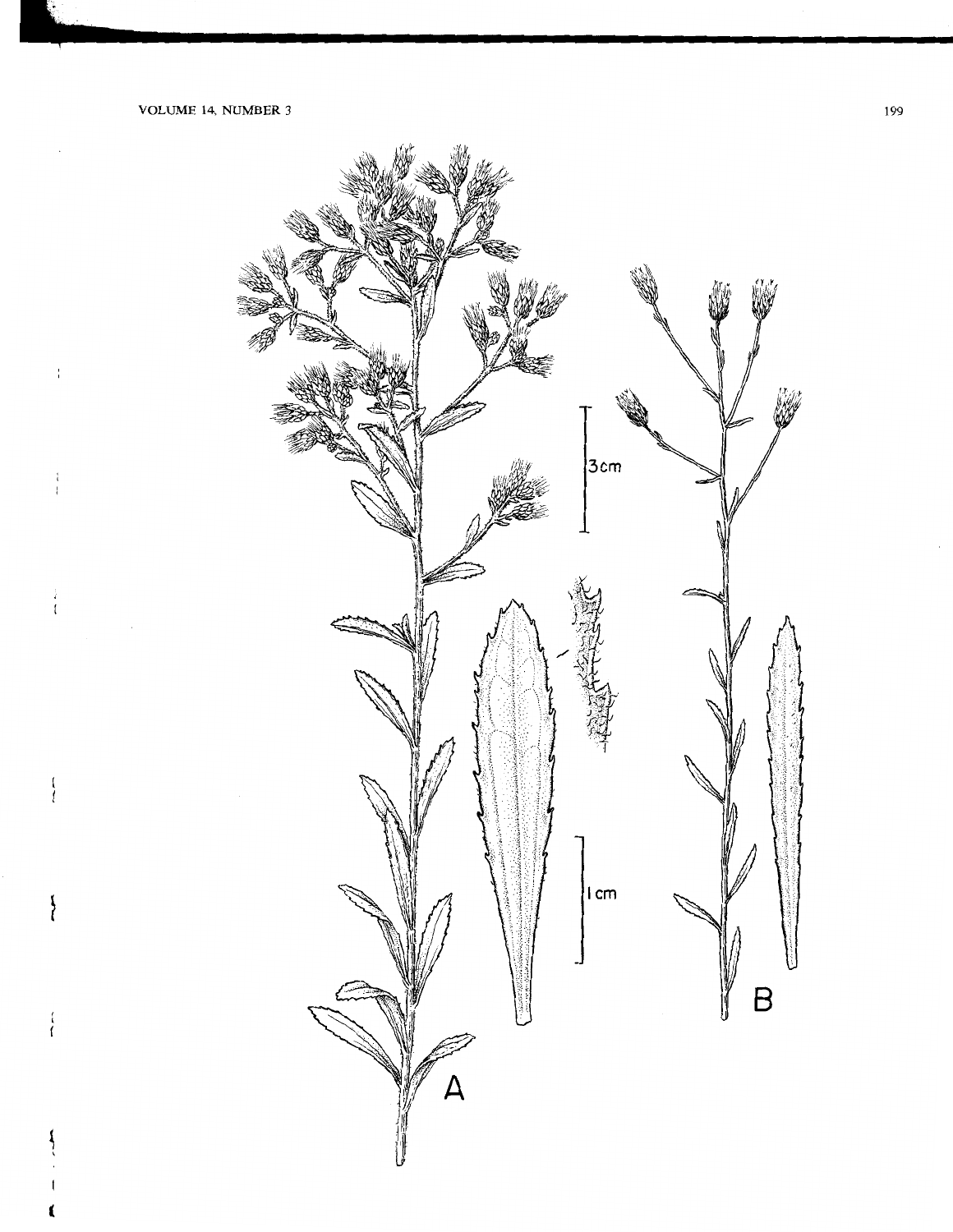$\sim$ 

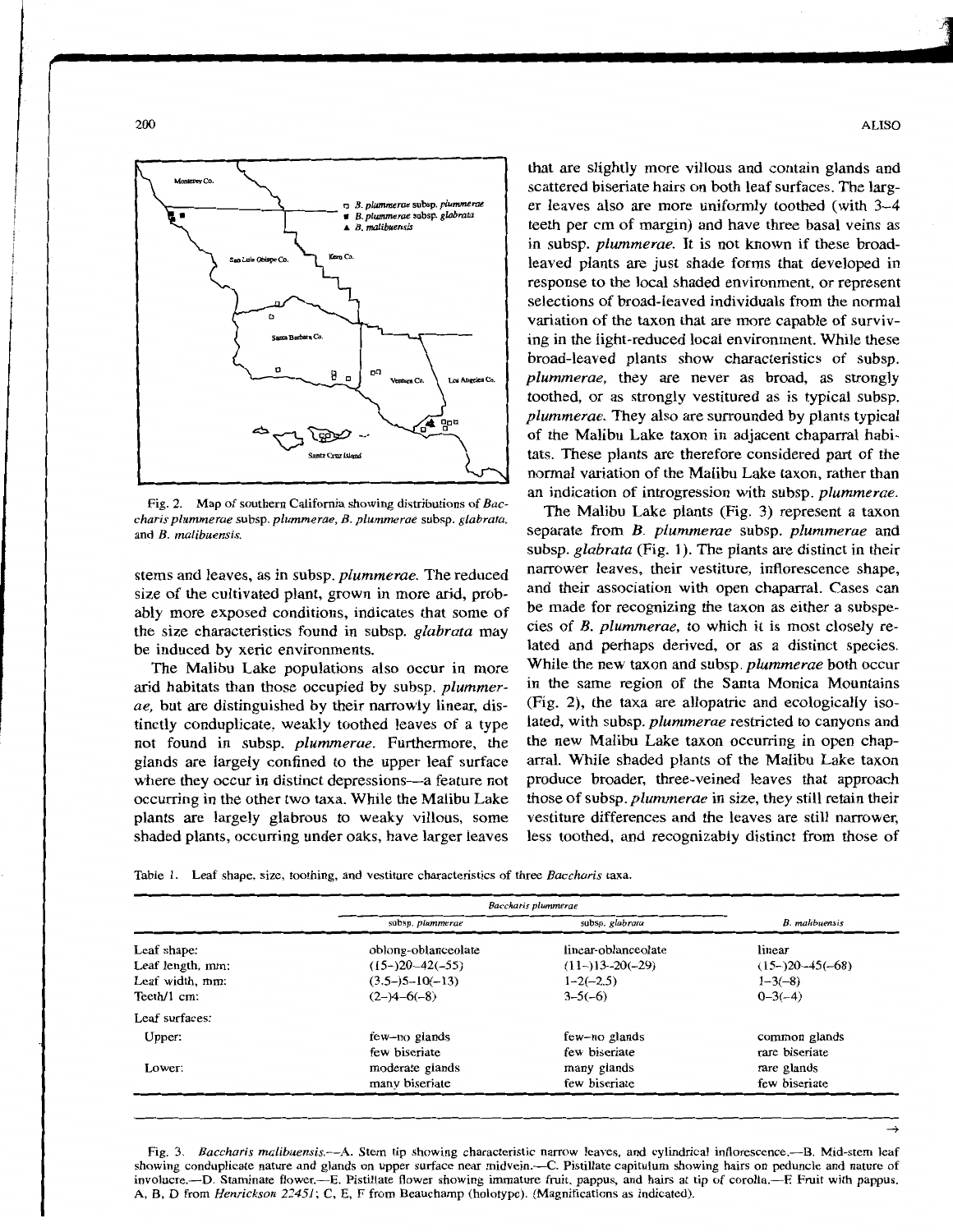

Fig. 2. Map of southern California showing distributions of *Baccharis plummerae* subsp. *plummerae, B. plummerae* subsp. *glabrata,*  and *B. malibuensis.* 

stems and leaves, as in subsp. *plummerae.* The reduced size of the cultivated plant, grown in more arid, probably more exposed conditions, indicates that some of the size characteristics found in subsp. *glabrata* may be induced by xeric environments.

The Malibu Lake populations also occur in more arid habitats than those occupied by subsp. *plummerae,* but are distinguished by their narrowly linear, distinctly conduplicate, weakly toothed leaves of a type not found in subsp. *plummerae.* Furthermore, the glands are largely confined to the upper leaf surface where they occur in distinct depressions—a feature not occurring in the other two taxa. While the Malibu Lake plants are largely glabrous to weaky villous, some shaded plants, occurring under oaks, have larger leaves

that are slightly more villous and contain glands and scattered biseriate hairs on both leaf surfaces. The larger leaves also are more uniformly toothed (with 3-4 teeth per em of margin) and have three basal veins as in subsp. *plummerae.* It is not known if these broadleaved plants are just shade forms that developed in response to the local shaded environment, or represent selections of broad-leaved individuals from the normal variation of the taxon that are more capable of surviving in the light-reduced local environment. While these broad-leaved plants show characteristics of subsp. *plummerae,* they are never as broad, as strongly toothed, or as strongly vestitured as is typical subsp. *plummerae.* They also are surrounded by plants typical of the Malibu Lake taxon in adjacent chaparral habitats. These plants are therefore considered part of the normal variation of the Malibu Lake taxon, rather than an indication of introgression with subsp. *plummerae.* 

The Malibu Lake plants (Fig. 3) represent a taxon separate from *B. plummerae* subsp. *plummerae* and subsp. *glabrata* (Fig. 1). The plants are distinct in their narrower leaves, their vestiture, inflorescence shape, and their association with open chaparral. Cases can be made for recognizing the taxon as either a subspecies of *B. plummerae,* to which it is most closely related and perhaps derived, or as a distinct species. While the new taxon and subsp. *plummerae* both occur in the same region of the Santa Monica Mountains (Fig. 2), the taxa are allopatric and ecologically isolated, with subsp. *plummerae* restricted to canyons and the new Malibu Lake taxon occurring in open chaparral. While shaded plants of the Malibu Lake taxon produce broader, three-veined leaves that approach those of subsp. *plummerae* in size, they still retain their vestiture differences and the leaves are still narrower, less toothed, and recognizably distinct from those of

|  | Table 1. Leaf shape, size, toothing, and vestiture characteristics of three Baccharis taxa. |  |  |  |  |  |  |
|--|---------------------------------------------------------------------------------------------|--|--|--|--|--|--|
|--|---------------------------------------------------------------------------------------------|--|--|--|--|--|--|

|                  |                                   | Baccharis plummerae            |                                 |  |
|------------------|-----------------------------------|--------------------------------|---------------------------------|--|
|                  | subsp. plummerae                  | subsp. glabrata                | <b>B.</b> malibuensis           |  |
| Leaf shape:      | oblong-oblanceolate               | linear-oblanceolate            | linear                          |  |
| Leaf length, mm: | $(15-20-42(-55))$                 | $(11-13-20(-29))$              | $(15-20-45(-68))$               |  |
| Leaf width, mm:  | $(3.5-5-10(-13))$                 | $1 - 2(-2.5)$                  | $1 - 3(-8)$                     |  |
| Teeth/1 cm:      | $(2-4-6(-8))$                     | $3 - 5(-6)$                    | $0 - 3(-4)$                     |  |
| Leaf surfaces:   |                                   |                                |                                 |  |
| Upper:           | few-no glands<br>few biseriate    | few-no glands<br>few biseriate | common glands<br>rare biseriate |  |
| Lower:           | moderate glands<br>many biseriate | many glands<br>few biseriate   | rare glands<br>few biseriate    |  |

Fig. 3. *Baccharis malibuensis.*--A. Stem tip showing characteristic narrow leaves, and cylindrical inflorescence.---B. Mid-stem leaf showing conduplicate nature and glands on upper surface near midvein.—C. Pistillate capitulum showing hairs on peduncle and nature of involucre.-D. Staminate fiower.-E. Pistillate flower showing immature fruit, pappus, and hairs at tip of corolla.-F. Fruit with pappus. A, B, D from *Henrickson 22451;* C, E, F from Beauchamp (holotype). (Magnifications as indicated).

 $\rightarrow$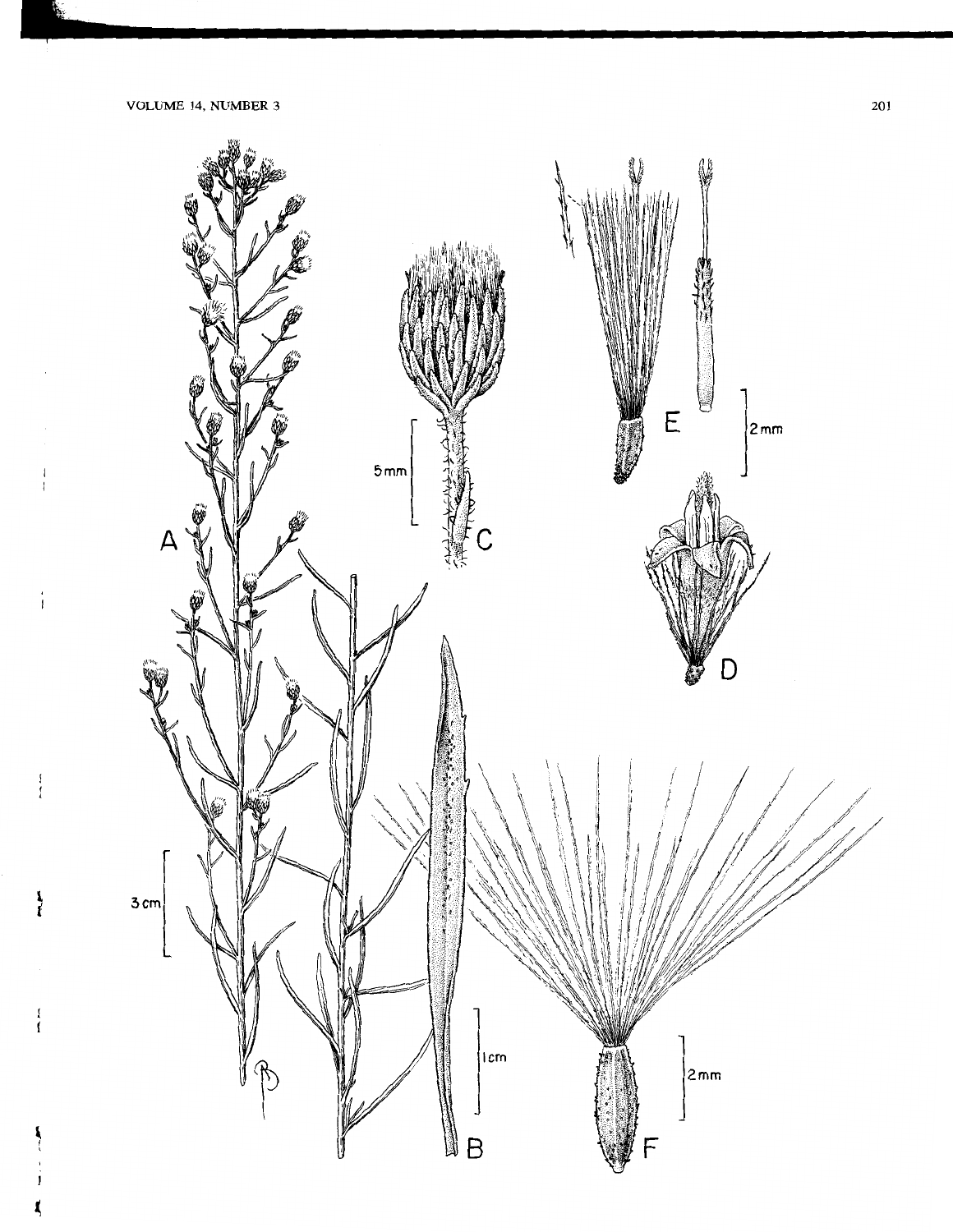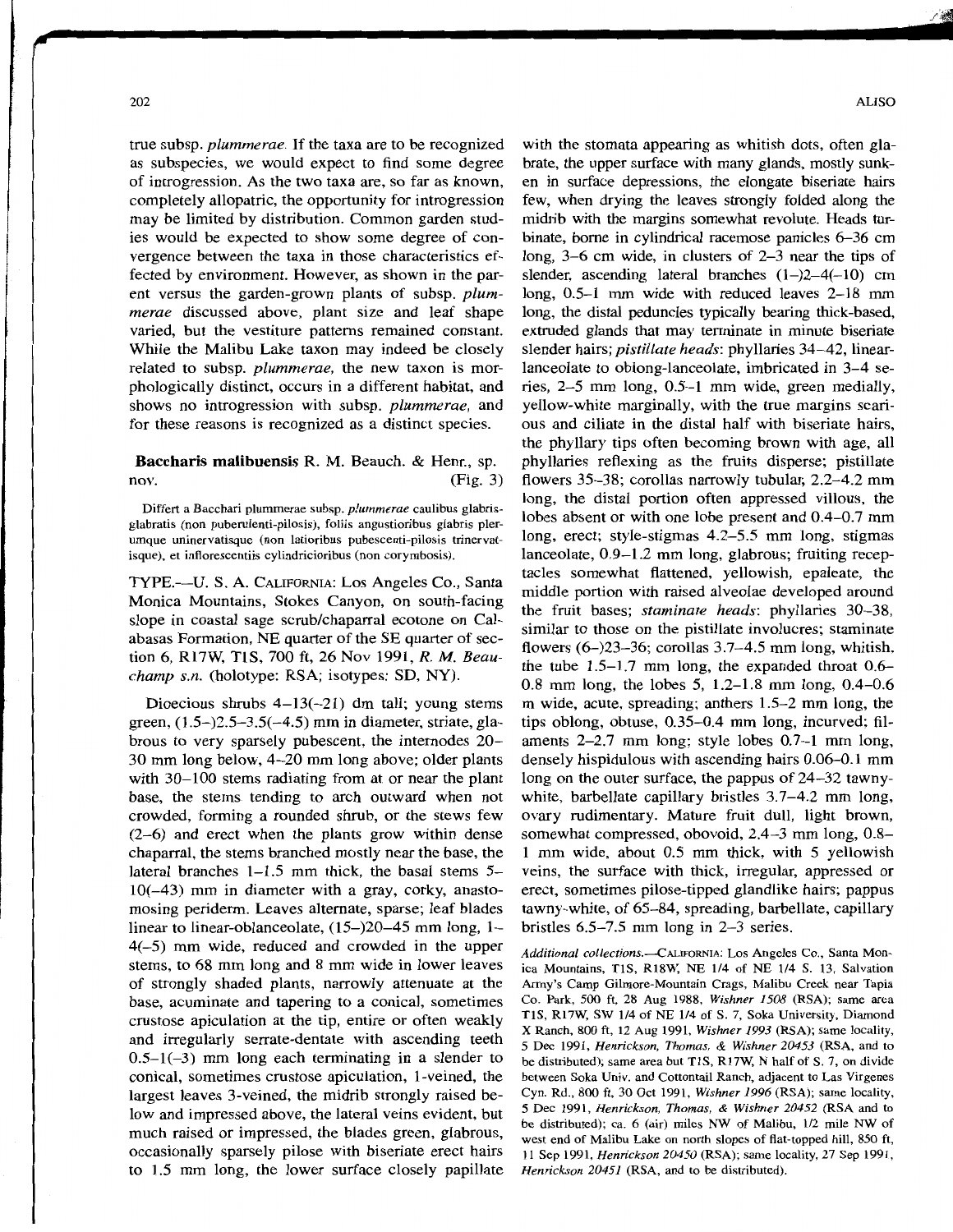true subsp. *plummerae.* If the taxa are to be recognized as subspecies, we would expect to find some degree of introgression. As the two taxa are, so far as known, completely allopatric, the opportunity for introgression may be limited by distribution. Common garden studies would be expected to show some degree of convergence between the taxa in those characteristics effected by environment. However, as shown in the parent versus the garden-grown plants of subsp. *plummerae* discussed above, plant size and leaf shape varied, but the vestiture patterns remained constant. While the Malibu Lake taxon may indeed be closely related to subsp. *plummerae,* the new taxon is morphologically distinct, occurs in a different habitat, and shows no introgression with subsp. *plummerae,* and for these reasons is recognized as a distinct species.

**Baccharis malibuensis** R. M. Beauch. & Henr., sp. nov.  $(Fig. 3)$ 

Differt a Bacchari plummerae subsp. *plummerae* caulibus glabrisglabratis (non puberulenti-pilosis), foliis angustioribus glabris plerumque uninervatisque (non latioribus pubescenti-pilosis trinervatisque), et inflorescentiis cylindricioribus (non corymbosis).

TYPE.-U. S. A. CALIFORNIA: Los Angeles Co., Santa Monica Mountains, Stokes Canyon, on south-facing slope in coastal sage scrub/chaparral ecotone on Calabasas Formation, NE quarter of the SE quarter of section 6, R17W, T1S, 700 ft, 26 Nov 1991, *R. M. Beauchamp s.n.* (holotype: RSA; isotypes: SD, NY).

Dioecious shrubs  $4-13(-21)$  dm tall; young stems green,  $(1.5-2.5-3.5(-4.5)$  mm in diameter, striate, glabrous to very sparsely pubescent, the internodes 20- 30 mm long below, 4-20 mm long above; older plants with 30–100 stems radiating from at or near the plant base, the stems tending to arch outward when not crowded, forming a rounded shrub, or the stews few (2-6) and erect when the plants grow within dense chaparral, the stems branched mostly near the base, the lateral branches 1–1.5 mm thick, the basal stems 5–  $10(-43)$  mm in diameter with a gray, corky, anastomosing periderm. Leaves alternate, sparse; leaf blades linear to linear-oblanceolate,  $(15-)20-45$  mm long, 1-4(-5) mm wide, reduced and crowded in the upper stems, to 68 mm long and 8 mm wide in lower leaves of strongly shaded plants, narrowly attenuate at the base, acuminate and tapering to a conical, sometimes crustose apiculation at the tip, entire or often weakly and irregularly serrate-dentate with ascending teeth  $0.5-1(-3)$  mm long each terminating in a slender to conical, sometimes crustose apiculation, 1-veined, the largest leaves 3-veined, the midrib strongly raised below and impressed above, the lateral veins evident, but much raised or impressed, the blades green, glabrous, occasionally sparsely pilose with biseriate erect hairs to 1.5 mm long, the lower surface closely papillate

with the stomata appearing as whitish dots, often glabrate, the upper surface with many glands, mostly sunken in surface depressions, the elongate biseriate hairs few, when drying the leaves strongly folded along the midrib with the margins somewhat revolute. Heads turbinate, borne in cylindrical racemose panicles 6-36 em long, 3-6 em wide, in clusters of 2-3 near the tips of slender, ascending lateral branches  $(1-2-4(-10))$  cm long, 0.5-1 mm wide with reduced leaves 2-18 mm long, the distal peduncles typically bearing thick-based, extruded glands that may terminate in minute biseriate slender hairs; *pistillate heads:* phyllaries 34-42, linearlanceolate to oblong-lanceolate, imbricated in 3-4 series, 2-5 mm long, 0.5-1 mm wide, green medially, yellow-white marginally, with the true margins scarious and ciliate in the distal half with biseriate hairs, the phyllary tips often becoming brown with age, all phyllaries reflexing as the fruits disperse; pistillate flowers 35-38; corollas narrowly tubular, 2.2-4.2 mm long, the distal portion often appressed villous, the lobes absent or with one lobe present and 0.4-0.7 mm long, erect; style-stigmas 4.2-5.5 mm long, stigmas lanceolate, 0.9-1.2 mm long, glabrous; fruiting receptacles somewhat flattened, yellowish, epaleate, the middle portion with raised alveolae developed around the fruit bases; *staminate heads:* phyllaries 30-38, similar to those on the pistillate involucres; staminate flowers  $(6-)23-36$ ; corollas  $3.7-4.5$  mm long, whitish, the tube 1.5-1.7 mm long, the expanded throat 0.6- 0.8 mm long, the lobes 5, 1.2-1.8 mm long, 0.4-0.6 m wide, acute, spreading; anthers 1.5-2 mm long, the tips oblong, obtuse, 0.35-0.4 mm long, incurved; filaments 2-2.7 mm long; style lobes 0.7-1 mm long, densely hispidulous with ascending hairs 0.06-0.1 mm long on the outer surface, the pappus of 24-32 tawnywhite, barbellate capillary bristles 3.7–4.2 mm long, ovary rudimentary. Mature fruit dull, light brown, somewhat compressed, obovoid, 2.4-3 mm long, 0.8- **1** mm wide, about 0.5 mm thick, with 5 yellowish veins, the surface with thick, irregular, appressed or erect, sometimes pilose-tipped glandlike hairs; pappus tawny-white, of 65-84, spreading, barbellate, capillary bristles 6.5-7.5 mm long in 2-3 series.

*Additional collections.-CALIFORNIA:* Los Angeles Co., Santa Monica Mountains, TIS, R18W, NE 1/4 of NE 1/4 S. 13, Salvation Army's Camp Gilmore-Mountain Crags, Malibu Creek near Tapia Co. Park, 500 ft, 28 Aug 1988. *Wishner 1508* (RSA); same area T1S, R17W, SW 1/4 of NE 1/4 of S. 7, Soka University, Diamond X Ranch, 800ft, 12 Aug 1991, *Wishner 1993* (RSA); same locality, 5 Dec 1991, *Henrickson, Thomas, & Wishner 20453* (RSA, and to be distributed); same area but TIS, R17W, N half of S. 7, on divide between Soka Univ. and Cottontail Ranch, adjacent to Las Virgenes Cyn. Rd., 800ft, 30 Oct 1991, *Wishner 1996* (RSA); same locality, 5 Dec 1991, *Henrickson, Thomas,* & *Wishner 20452* (RSA and to be distributed); ca. 6 (air) miles NW of Malibu, 1/2 mile NW of west end of Malibu Lake on north slopes of flat-topped hill, 850 ft, 11 Sep 1991, *Henrickson 20450* (RSA); same locality, 27 Sep 1991, *Henrickson 20451* (RSA, and to be distributed).